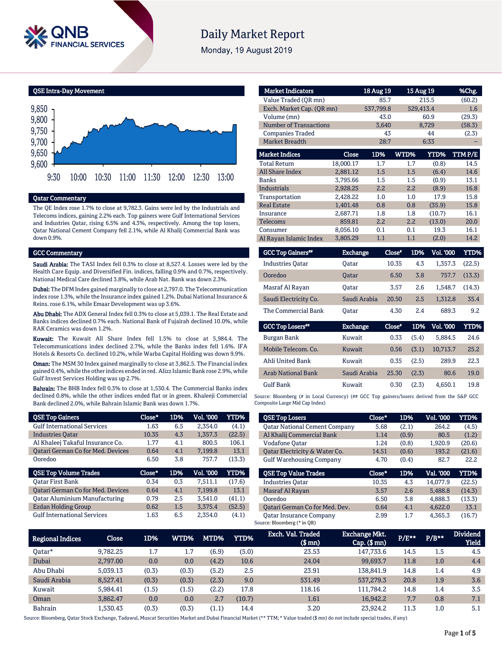

# **Daily Market Report**

Monday, 19 August 2019

QSE Intra-Day Movement



#### Qatar Commentary

The QE Index rose 1.7% to close at 9,782.3. Gains were led by the Industrials and Telecoms indices, gaining 2.2% each. Top gainers were Gulf International Services and Industries Qatar, rising 6.5% and 4.3%, respectively. Among the top losers, Qatar National Cement Company fell 2.1%, while Al Khalij Commercial Bank was down 0.9%.

#### GCC Commentary

Saudi Arabia: The TASI Index fell 0.3% to close at 8,527.4. Losses were led by the Health Care Equip. and Diversified Fin. indices, falling 0.9% and 0.7%, respectively. National Medical Care declined 3.8%, while Arab Nat. Bank was down 2.3%.

Dubai: The DFM Index gained marginally to close at 2,797.0. The Telecommunication index rose 1.3%, while the Insurance index gained 1.2%. Dubai National Insurance & Reins. rose 6.1%, while Emaar Development was up 3.6%.

Abu Dhabi: The ADX General Index fell 0.3% to close at 5,039.1. The Real Estate and Banks indices declined 0.7% each. National Bank of Fujairah declined 10.0%, while RAK Ceramics was down 1.2%.

Kuwait: The Kuwait All Share Index fell 1.5% to close at 5,984.4. The Telecommunications index declined 2.7%, while the Banks index fell 1.6%. IFA Hotels & Resorts Co. declined 10.2%, while Warba Capital Holding was down 9.9%.

Oman: The MSM 30 Index gained marginally to close at 3,862.5. The Financial index gained 0.4%, while the other indices ended in red. Alizz Islamic Bank rose 2.9%, while Gulf Invest Services Holding was up 2.7%.

Bahrain: The BHB Index fell 0.3% to close at 1,530.4. The Commercial Banks index declined 0.8%, while the other indices ended flat or in green. Khaleeji Commercial Bank declined 2.0%, while Bahrain Islamic Bank was down 1.7%.

| <b>QSE Top Gainers</b>                   | Close* | 1D% | Vol. '000 | <b>YTD%</b> |
|------------------------------------------|--------|-----|-----------|-------------|
| <b>Gulf International Services</b>       | 1.63   | 6.5 | 2.354.0   | (4.1)       |
| <b>Industries Oatar</b>                  | 10.35  | 4.3 | 1,357.3   | (22.5)      |
| Al Khaleej Takaful Insurance Co.         | 1.77   | 4.1 | 800.5     | 106.1       |
| <b>Qatari German Co for Med. Devices</b> | 0.64   | 4.1 | 7,199.8   | 13.1        |
| Ooredoo                                  | 6.50   | 3.8 | 757.7     | (13.3)      |
|                                          |        |     |           |             |
| <b>QSE Top Volume Trades</b>             | Close* | 1D% | Vol. '000 | YTD%        |
| <b>Oatar First Bank</b>                  | 0.34   | 0.3 | 7.511.1   | (17.6)      |
| Qatari German Co for Med. Devices        | 0.64   | 4.1 | 7.199.8   | 13.1        |
| <b>Oatar Aluminium Manufacturing</b>     | 0.79   | 2.5 | 3.541.0   | (41.1)      |
| <b>Ezdan Holding Group</b>               | 0.62   | 1.5 | 3.375.4   | (52.5)      |

| <b>Market Indicators</b>      |                 | 18 Aug 19 |               | 15 Aug 19        | %Chg.  |
|-------------------------------|-----------------|-----------|---------------|------------------|--------|
| Value Traded (OR mn)          |                 | 85.7      |               | 215.5            | (60.2) |
| Exch. Market Cap. (QR mn)     |                 | 537,799.8 |               | 529,413.4        | 1.6    |
| Volume (mn)                   |                 | 43.0      |               | 60.9             | (29.3) |
| <b>Number of Transactions</b> |                 | 3,640     |               | 8,729            | (58.3) |
| <b>Companies Traded</b>       |                 | 43        |               | 44               | (2.3)  |
| <b>Market Breadth</b>         |                 | 28:7      |               | 6:33             |        |
| <b>Market Indices</b>         | Close           | 1D%       | WTD%          | <b>YTD%</b>      | TTMP/E |
| <b>Total Return</b>           | 18,000.17       | 1.7       | 1.7           | (0.8)            | 14.5   |
| <b>All Share Index</b>        | 2,881.12        | 1.5       | 1.5           | (6.4)            | 14.6   |
| <b>Banks</b>                  | 3,795.66        | 1.5       | 1.5           | (0.9)            | 13.1   |
| <b>Industrials</b>            | 2.928.25        | 2.2       | 2.2           | (8.9)            | 16.8   |
| Transportation                | 2.428.22        | 1.0       | 1.0           | 17.9             | 15.8   |
| <b>Real Estate</b>            | 1,401.48        | 0.8       | 0.8           | (35.9)           | 15.8   |
| Insurance                     | 2,687.71        | 1.8       | 1.8           | (10.7)           | 16.1   |
| Telecoms                      | 859.81          | 2.2       | 2.2           | (13.0)           | 20.0   |
| Consumer                      | 8,056.10        | 0.1       | 0.1           | 19.3             | 16.1   |
| Al Rayan Islamic Index        | 3,805.29        | 1.1       | 1.1           | (2.0)            | 14.2   |
| <b>GCC Top Gainers</b> "      | <b>Exchange</b> |           | Close*<br>1D% | <b>Vol. '000</b> | YTD%   |

| <b>Industries Oatar</b> | Oatar        | 10.35 | 4.3 | 1.357.3 | (22.5) |
|-------------------------|--------------|-------|-----|---------|--------|
| Ooredoo                 | <b>Oatar</b> | 6.50  | 3.8 | 757.7   | (13.3) |
| Masraf Al Rayan         | Oatar        | 3.57  | 2.6 | 1.548.7 | (14.3) |
| Saudi Electricity Co.   | Saudi Arabia | 20.50 | 2.5 | 1.312.8 | 35.4   |
| The Commercial Bank     | Oatar        | 4.30  | 2.4 | 689.3   | 9.2    |

| <b>GCC Top Losers</b>     | <b>Exchange</b> | Close" | 1D%   | <b>Vol. '000</b> | YTD% |
|---------------------------|-----------------|--------|-------|------------------|------|
| Burgan Bank               | Kuwait          | 0.33   | (5.4) | 5.884.5          | 24.6 |
| Mobile Telecom, Co.       | Kuwait          | 0.56   | (3.1) | 10.713.7         | 25.2 |
| Ahli United Bank          | Kuwait          | 0.35   | (2.5) | 289.9            | 22.3 |
| <b>Arab National Bank</b> | Saudi Arabia    | 25.30  | (2.3) | 80.6             | 19.0 |
| <b>Gulf Bank</b>          | Kuwait          | 0.30   | (2.3) | 4.650.1          | 19.8 |

Source: Bloomberg (# in Local Currency) (## GCC Top gainers/losers derived from the S&P GCC Composite Large Mid Cap Index)

| <b>QSE Top Losers</b>                | Close* | 1D%   | <b>Vol. '000</b> | <b>YTD%</b> |
|--------------------------------------|--------|-------|------------------|-------------|
| <b>Oatar National Cement Company</b> | 5.68   | (2.1) | 264.2            | (4.5)       |
| Al Khalij Commercial Bank            | 1.14   | (0.9) | 80.5             | (1.2)       |
| Vodafone Qatar                       | 1.24   | (0.8) | 1,920.9          | (20.6)      |
| Oatar Electricity & Water Co.        | 14.51  | (0.6) | 193.2            | (21.6)      |
| <b>Gulf Warehousing Company</b>      | 4.70   | (0.4) | 82.7             | 22.2        |
|                                      |        |       |                  |             |
| <b>OSE Top Value Trades</b>          | Close* | 1D%   | Val. '000        | <b>YTD%</b> |
| <b>Industries Oatar</b>              | 10.35  | 4.3   | 14.077.9         | (22.5)      |
| Masraf Al Rayan                      | 3.57   | 2.6   | 5.488.8          | (14.3)      |
| Ooredoo                              | 6.50   | 3.8   | 4.888.3          | (13.3)      |
| Oatari German Co for Med. Dev.       | 0.64   | 4.1   | 4,622.0          | 13.1        |

| <b>Regional Indices</b> | <b>Close</b> | 1D%       | WTD%  | MTD%  | <b>YTD%</b> | Exch. Val. Traded<br>$$$ mn $)$ | <b>Exchange Mkt.</b><br>$Cap.$ $(\$$ mn) | $P/E***$ | $P/B**$ | <b>Dividend</b><br><b>Yield</b> |
|-------------------------|--------------|-----------|-------|-------|-------------|---------------------------------|------------------------------------------|----------|---------|---------------------------------|
| 0atar*                  | 9.782.25     | 15<br>ı., | 1.7   | (6.9) | (5.0)       | 23.53                           | 147.733.6                                | 14.5     | 1.5     | 4.5                             |
| Dubai                   | 2.797.00     | 0.0       | 0.0   | (4.2) | 10.6        | 24.04                           | 99.693.7                                 | 11.8     | 1.0     | 4.4                             |
| Abu Dhabi               | 5.039.13     | (0.3)     | (0.3) | (5.2) | 2.5         | 23.91                           | 138.841.9                                | 14.8     | 1.4     | 4.9                             |
| Saudi Arabia            | 8,527.41     | (0.3)     | (0.3) | (2.3) | 9.0         | 531.49                          | 537,279.3                                | 20.8     | 1.9     | 3.6                             |
| Kuwait                  | 5.984.41     | (1.5)     | (1.5) | (2.2) | 17.8        | 118.16                          | 111.784.2                                | 14.8     | 1.4     | 3.5                             |
| Oman                    | 3.862.47     | 0.0       | 0.0   | 2.7   | (10.7)      | 1.61                            | 16,942.2                                 | 7.7      | 0.8     | 7.1                             |
| Bahrain                 | 1.530.43     | (0.3)     | (0.3) | (1.1) | 14.4        | 3.20                            | 23.924.2                                 | 11.3     | 1.0     | 5.1                             |

Source: Bloomberg, Qatar Stock Exchange, Tadawul, Muscat Securities Market and Dubai Financial Market (\*\* TTM; \* Value traded (\$ mn) do not include special trades, if any)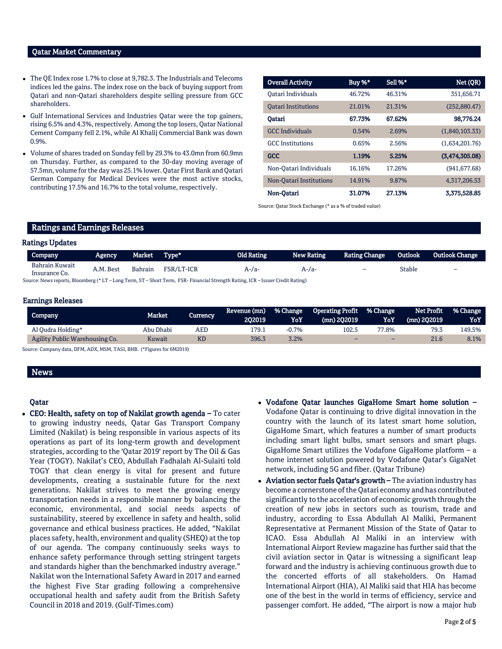#### Qatar Market Commentary

- The QE Index rose 1.7% to close at 9,782.3. The Industrials and Telecoms indices led the gains. The index rose on the back of buying support from Qatari and non-Qatari shareholders despite selling pressure from GCC shareholders.
- Gulf International Services and Industries Qatar were the top gainers, rising 6.5% and 4.3%, respectively. Among the top losers, Qatar National Cement Company fell 2.1%, while Al Khalij Commercial Bank was down 0.9%.
- Volume of shares traded on Sunday fell by 29.3% to 43.0mn from 60.9mn on Thursday. Further, as compared to the 30-day moving average of 57.5mn, volume for the day was 25.1% lower. Qatar First Bank and Qatari German Company for Medical Devices were the most active stocks, contributing 17.5% and 16.7% to the total volume, respectively.

| <b>Overall Activity</b>    | Buy %* | Sell %* | Net (QR)       |
|----------------------------|--------|---------|----------------|
| Oatari Individuals         | 46.72% | 46.31%  | 351,656.71     |
| <b>Oatari Institutions</b> | 21.01% | 21.31%  | (252,880.47)   |
| Oatari                     | 67.73% | 67.62%  | 98,776.24      |
| <b>GCC</b> Individuals     | 0.54%  | 2.69%   | (1,840,103.33) |
| <b>GCC</b> Institutions    | 0.65%  | 2.56%   | (1,634,201.76) |
| <b>GCC</b>                 | 1.19%  | 5.25%   | (3,474,305.08) |
| Non-Qatari Individuals     | 16.16% | 17.26%  | (941, 677, 68) |
| Non-Oatari Institutions    | 14.91% | 9.87%   | 4.317.206.53   |
| Non-Oatari                 | 31.07% | 27.13%  | 3,375,528.85   |

Source: Qatar Stock Exchange (\* as a % of traded value)

#### Ratings and Earnings Releases

#### Ratings Updates

| Company                         | Agency    | Market Type*   |            | Old Rating                                                                                                                      | <b>New Rating</b> | <b>Rating Change</b>     | Outlook | <b>Outlook Change</b>    |
|---------------------------------|-----------|----------------|------------|---------------------------------------------------------------------------------------------------------------------------------|-------------------|--------------------------|---------|--------------------------|
| Bahrain Kuwait<br>Insurance Co. | A.M. Best | <b>Bahrain</b> | FSR/LT-ICR | $A - Ia -$                                                                                                                      | A-/a-             | $\overline{\phantom{0}}$ | Stable  | $\overline{\phantom{0}}$ |
|                                 |           |                |            | Source: News reports, Bloomberg (* LT – Long Term, ST – Short Term, FSR- Financial Strength Rating, ICR – Issuer Credit Rating) |                   |                          |         |                          |

#### Earnings Releases

| Company                        | Market    | Currency | Revenue (mn)<br>202019 | % Change<br>YoY | Operating Profit % Change<br>(mn) 202019 | YoY   | Net Profit<br>$(mn)$ 202019 | <b>1% Change</b><br>YoY |
|--------------------------------|-----------|----------|------------------------|-----------------|------------------------------------------|-------|-----------------------------|-------------------------|
| Al Qudra Holding*              | Abu Dhabi | AED      | 179.1                  | $-0.7%$         | 102.5                                    | 77.8% | 79.3                        | 149.5%                  |
| Agility Public Warehousing Co. | Kuwait    |          | 396.3                  | 3.2%            | $\overline{\phantom{0}}$                 | -     | 21.6                        | 8.1%                    |
|                                |           |          |                        |                 |                                          |       |                             |                         |

Source: Company data, DFM, ADX, MSM, TASI, BHB. (\*Figures for 6M2019)

#### News

#### Qatar

- CEO: Health, safety on top of Nakilat growth agenda To cater to growing industry needs, Qatar Gas Transport Company Limited (Nakilat) is being responsible in various aspects of its operations as part of its long-term growth and development strategies, according to the 'Qatar 2019' report by The Oil & Gas Year (TOGY). Nakilat's CEO, Abdullah Fadhalah Al-Sulaiti told TOGY that clean energy is vital for present and future developments, creating a sustainable future for the next generations. Nakilat strives to meet the growing energy transportation needs in a responsible manner by balancing the economic, environmental, and social needs aspects of sustainability, steered by excellence in safety and health, solid governance and ethical business practices. He added, "Nakilat places safety, health, environment and quality (SHEQ) at the top of our agenda. The company continuously seeks ways to enhance safety performance through setting stringent targets and standards higher than the benchmarked industry average." Nakilat won the International Safety Award in 2017 and earned the highest Five Star grading following a comprehensive occupational health and safety audit from the British Safety Council in 2018 and 2019. (Gulf-Times.com)
- Vodafone Qatar launches GigaHome Smart home solution Vodafone Qatar is continuing to drive digital innovation in the country with the launch of its latest smart home solution, GigaHome Smart, which features a number of smart products including smart light bulbs, smart sensors and smart plugs. GigaHome Smart utilizes the Vodafone GigaHome platform – a home internet solution powered by Vodafone Qatar's GigaNet network, including 5G and fiber. (Qatar Tribune)
- Aviation sector fuels Qatar's growth The aviation industry has become a cornerstone of the Qatari economy and has contributed significantly to the acceleration of economic growth through the creation of new jobs in sectors such as tourism, trade and industry, according to Essa Abdullah Al Maliki, Permanent Representative at Permanent Mission of the State of Qatar to ICAO. Essa Abdullah Al Maliki in an interview with International Airport Review magazine has further said that the civil aviation sector in Qatar is witnessing a significant leap forward and the industry is achieving continuous growth due to the concerted efforts of all stakeholders. On Hamad International Airport (HIA), Al Maliki said that HIA has become one of the best in the world in terms of efficiency, service and passenger comfort. He added, "The airport is now a major hub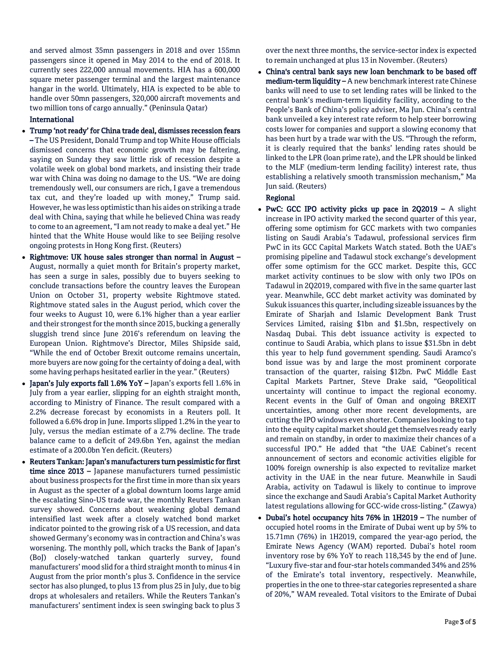and served almost 35mn passengers in 2018 and over 155mn passengers since it opened in May 2014 to the end of 2018. It currently sees 222,000 annual movements. HIA has a 600,000 square meter passenger terminal and the largest maintenance hangar in the world. Ultimately, HIA is expected to be able to handle over 50mn passengers, 320,000 aircraft movements and two million tons of cargo annually." (Peninsula Qatar)

#### International

- Trump 'not ready' for China trade deal, dismisses recession fears – The US President, Donald Trump and top White House officials dismissed concerns that economic growth may be faltering, saying on Sunday they saw little risk of recession despite a volatile week on global bond markets, and insisting their trade war with China was doing no damage to the US. "We are doing tremendously well, our consumers are rich, I gave a tremendous tax cut, and they're loaded up with money," Trump said. However, he was less optimistic than his aides on striking a trade deal with China, saying that while he believed China was ready to come to an agreement, "I am not ready to make a deal yet." He hinted that the White House would like to see Beijing resolve ongoing protests in Hong Kong first. (Reuters)
- Rightmove: UK house sales stronger than normal in August -August, normally a quiet month for Britain's property market, has seen a surge in sales, possibly due to buyers seeking to conclude transactions before the country leaves the European Union on October 31, property website Rightmove stated. Rightmove stated sales in the August period, which cover the four weeks to August 10, were 6.1% higher than a year earlier and their strongest for the month since 2015, bucking a generally sluggish trend since June 2016's referendum on leaving the European Union. Rightmove's Director, Miles Shipside said, "While the end of October Brexit outcome remains uncertain, more buyers are now going for the certainty of doing a deal, with some having perhaps hesitated earlier in the year." (Reuters)
- Japan's July exports fall 1.6% YoY Japan's exports fell 1.6% in July from a year earlier, slipping for an eighth straight month, according to Ministry of Finance. The result compared with a 2.2% decrease forecast by economists in a Reuters poll. It followed a 6.6% drop in June. Imports slipped 1.2% in the year to July, versus the median estimate of a 2.7% decline. The trade balance came to a deficit of 249.6bn Yen, against the median estimate of a 200.0bn Yen deficit. (Reuters)
- Reuters Tankan: Japan's manufacturers turn pessimistic for first time since 2013 – Japanese manufacturers turned pessimistic about business prospects for the first time in more than six years in August as the specter of a global downturn looms large amid the escalating Sino-US trade war, the monthly Reuters Tankan survey showed. Concerns about weakening global demand intensified last week after a closely watched bond market indicator pointed to the growing risk of a US recession, and data showed Germany's economy was in contraction and China's was worsening. The monthly poll, which tracks the Bank of Japan's (BoJ) closely-watched tankan quarterly survey, found manufacturers' mood slid for a third straight month to minus 4 in August from the prior month's plus 3. Confidence in the service sector has also plunged, to plus 13 from plus 25 in July, due to big drops at wholesalers and retailers. While the Reuters Tankan's manufacturers' sentiment index is seen swinging back to plus 3

over the next three months, the service-sector index is expected to remain unchanged at plus 13 in November. (Reuters)

 China's central bank says new loan benchmark to be based off medium-term liquidity - A new benchmark interest rate Chinese banks will need to use to set lending rates will be linked to the central bank's medium-term liquidity facility, according to the People's Bank of China's policy adviser, Ma Jun. China's central bank unveiled a key interest rate reform to help steer borrowing costs lower for companies and support a slowing economy that has been hurt by a trade war with the US. "Through the reform, it is clearly required that the banks' lending rates should be linked to the LPR (loan prime rate), and the LPR should be linked to the MLF (medium-term lending facility) interest rate, thus establishing a relatively smooth transmission mechanism," Ma Jun said. (Reuters)

### Regional

- PwC: GCC IPO activity picks up pace in  $2Q2019 A$  slight increase in IPO activity marked the second quarter of this year, offering some optimism for GCC markets with two companies listing on Saudi Arabia's Tadawul, professional services firm PwC in its GCC Capital Markets Watch stated. Both the UAE's promising pipeline and Tadawul stock exchange's development offer some optimism for the GCC market. Despite this, GCC market activity continues to be slow with only two IPOs on Tadawul in 2Q2019, compared with five in the same quarter last year. Meanwhile, GCC debt market activity was dominated by Sukuk issuances this quarter, including sizeable issuances by the Emirate of Sharjah and Islamic Development Bank Trust Services Limited, raising \$1bn and \$1.5bn, respectively on Nasdaq Dubai. This debt issuance activity is expected to continue to Saudi Arabia, which plans to issue \$31.5bn in debt this year to help fund government spending. Saudi Aramco's bond issue was by and large the most prominent corporate transaction of the quarter, raising \$12bn. PwC Middle East Capital Markets Partner, Steve Drake said, "Geopolitical uncertainty will continue to impact the regional economy. Recent events in the Gulf of Oman and ongoing BREXIT uncertainties, among other more recent developments, are cutting the IPO windows even shorter. Companies looking to tap into the equity capital market should get themselves ready early and remain on standby, in order to maximize their chances of a successful IPO." He added that "the UAE Cabinet's recent announcement of sectors and economic activities eligible for 100% foreign ownership is also expected to revitalize market activity in the UAE in the near future. Meanwhile in Saudi Arabia, activity on Tadawul is likely to continue to improve since the exchange and Saudi Arabia's Capital Market Authority latest regulations allowing for GCC-wide cross-listing." (Zawya)
- Dubai's hotel occupancy hits 76% in 1H2019 The number of occupied hotel rooms in the Emirate of Dubai went up by 5% to 15.71mn (76%) in 1H2019, compared the year-ago period, the Emirate News Agency (WAM) reported. Dubai's hotel room inventory rose by 6% YoY to reach 118,345 by the end of June. "Luxury five-star and four-star hotels commanded 34% and 25% of the Emirate's total inventory, respectively. Meanwhile, properties in the one to three-star categories represented a share of 20%," WAM revealed. Total visitors to the Emirate of Dubai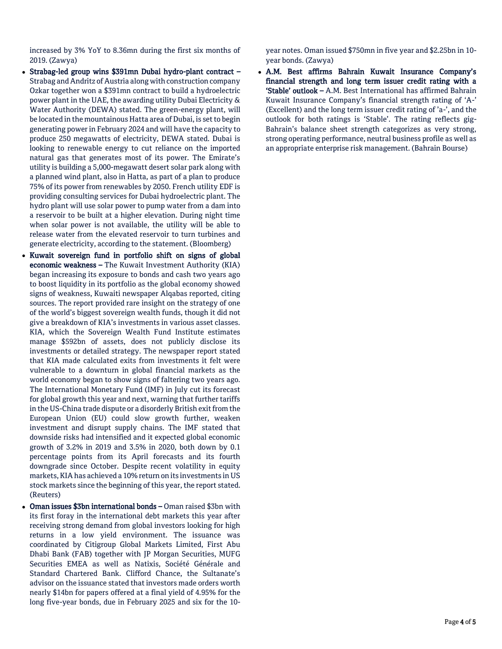increased by 3% YoY to 8.36mn during the first six months of 2019. (Zawya)

- Strabag-led group wins \$391mn Dubai hydro-plant contract Strabag and Andritz of Austria along with construction company Ozkar together won a \$391mn contract to build a hydroelectric power plant in the UAE, the awarding utility Dubai Electricity & Water Authority (DEWA) stated. The green-energy plant, will be located in the mountainous Hatta area of Dubai, is set to begin generating power in February 2024 and will have the capacity to produce 250 megawatts of electricity, DEWA stated. Dubai is looking to renewable energy to cut reliance on the imported natural gas that generates most of its power. The Emirate's utility is building a 5,000-megawatt desert solar park along with a planned wind plant, also in Hatta, as part of a plan to produce 75% of its power from renewables by 2050. French utility EDF is providing consulting services for Dubai hydroelectric plant. The hydro plant will use solar power to pump water from a dam into a reservoir to be built at a higher elevation. During night time when solar power is not available, the utility will be able to release water from the elevated reservoir to turn turbines and generate electricity, according to the statement. (Bloomberg)
- Kuwait sovereign fund in portfolio shift on signs of global economic weakness - The Kuwait Investment Authority (KIA) began increasing its exposure to bonds and cash two years ago to boost liquidity in its portfolio as the global economy showed signs of weakness, Kuwaiti newspaper Alqabas reported, citing sources. The report provided rare insight on the strategy of one of the world's biggest sovereign wealth funds, though it did not give a breakdown of KIA's investments in various asset classes. KIA, which the Sovereign Wealth Fund Institute estimates manage \$592bn of assets, does not publicly disclose its investments or detailed strategy. The newspaper report stated that KIA made calculated exits from investments it felt were vulnerable to a downturn in global financial markets as the world economy began to show signs of faltering two years ago. The International Monetary Fund (IMF) in July cut its forecast for global growth this year and next, warning that further tariffs in the US-China trade dispute or a disorderly British exit from the European Union (EU) could slow growth further, weaken investment and disrupt supply chains. The IMF stated that downside risks had intensified and it expected global economic growth of 3.2% in 2019 and 3.5% in 2020, both down by 0.1 percentage points from its April forecasts and its fourth downgrade since October. Despite recent volatility in equity markets, KIA has achieved a 10% return on its investments in US stock markets since the beginning of this year, the report stated. (Reuters)
- Oman issues \$3bn international bonds Oman raised \$3bn with its first foray in the international debt markets this year after receiving strong demand from global investors looking for high returns in a low yield environment. The issuance was coordinated by Citigroup Global Markets Limited, First Abu Dhabi Bank (FAB) together with JP Morgan Securities, MUFG Securities EMEA as well as Natixis, Société Générale and Standard Chartered Bank. Clifford Chance, the Sultanate's advisor on the issuance stated that investors made orders worth nearly \$14bn for papers offered at a final yield of 4.95% for the long five-year bonds, due in February 2025 and six for the 10-

year notes. Oman issued \$750mn in five year and \$2.25bn in 10 year bonds. (Zawya)

 A.M. Best affirms Bahrain Kuwait Insurance Company's financial strength and long term issuer credit rating with a 'Stable' outlook – A.M. Best International has affirmed Bahrain Kuwait Insurance Company's financial strength rating of 'A-' (Excellent) and the long term issuer credit rating of 'a-', and the outlook for both ratings is 'Stable'. The rating reflects gig-Bahrain's balance sheet strength categorizes as very strong, strong operating performance, neutral business profile as well as an appropriate enterprise risk management. (Bahrain Bourse)